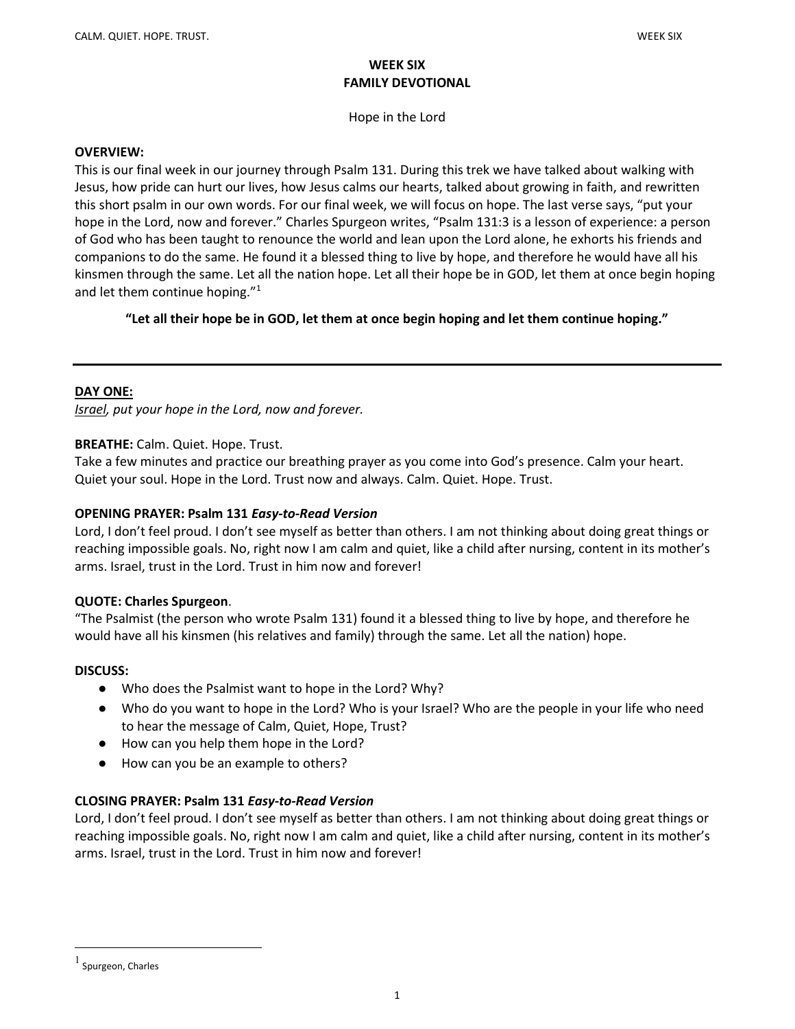## WEEK SIX FAMILY DEVOTIONAL

Hope in the Lord

#### OVERVIEW:

This is our final week in our journey through Psalm 131. During this trek we have talked about walking with Jesus, how pride can hurt our lives, how Jesus calms our hearts, talked about growing in faith, and rewritten this short psalm in our own words. For our final week, we will focus on hope. The last verse says, "put your hope in the Lord, now and forever." Charles Spurgeon writes, "Psalm 131:3 is a lesson of experience: a person of God who has been taught to renounce the world and lean upon the Lord alone, he exhorts his friends and companions to do the same. He found it a blessed thing to live by hope, and therefore he would have all his kinsmen through the same. Let all the nation hope. Let all their hope be in GOD, let them at once begin hoping and let them continue hoping."<sup>1</sup>

"Let all their hope be in GOD, let them at once begin hoping and let them continue hoping."

### DAY ONE:

**Israel, put your hope in the Lord, now and forever.** 

### BREATHE: Calm. Quiet. Hope. Trust.

Take a few minutes and practice our breathing prayer as you come into God's presence. Calm your heart. Quiet your soul. Hope in the Lord. Trust now and always. Calm. Quiet. Hope. Trust.

### OPENING PRAYER: Psalm 131 Easy-to-Read Version

Lord, I don't feel proud. I don't see myself as better than others. I am not thinking about doing great things or reaching impossible goals. No, right now I am calm and quiet, like a child after nursing, content in its mother's arms. Israel, trust in the Lord. Trust in him now and forever!

### QUOTE: Charles Spurgeon.

"The Psalmist (the person who wrote Psalm 131) found it a blessed thing to live by hope, and therefore he would have all his kinsmen (his relatives and family) through the same. Let all the nation) hope.

### DISCUSS:

- Who does the Psalmist want to hope in the Lord? Why?
- Who do you want to hope in the Lord? Who is your Israel? Who are the people in your life who need to hear the message of Calm, Quiet, Hope, Trust?
- How can you help them hope in the Lord?
- How can you be an example to others?

## CLOSING PRAYER: Psalm 131 Easy-to-Read Version

Lord, I don't feel proud. I don't see myself as better than others. I am not thinking about doing great things or reaching impossible goals. No, right now I am calm and quiet, like a child after nursing, content in its mother's arms. Israel, trust in the Lord. Trust in him now and forever!

<sup>1</sup> Spurgeon, Charles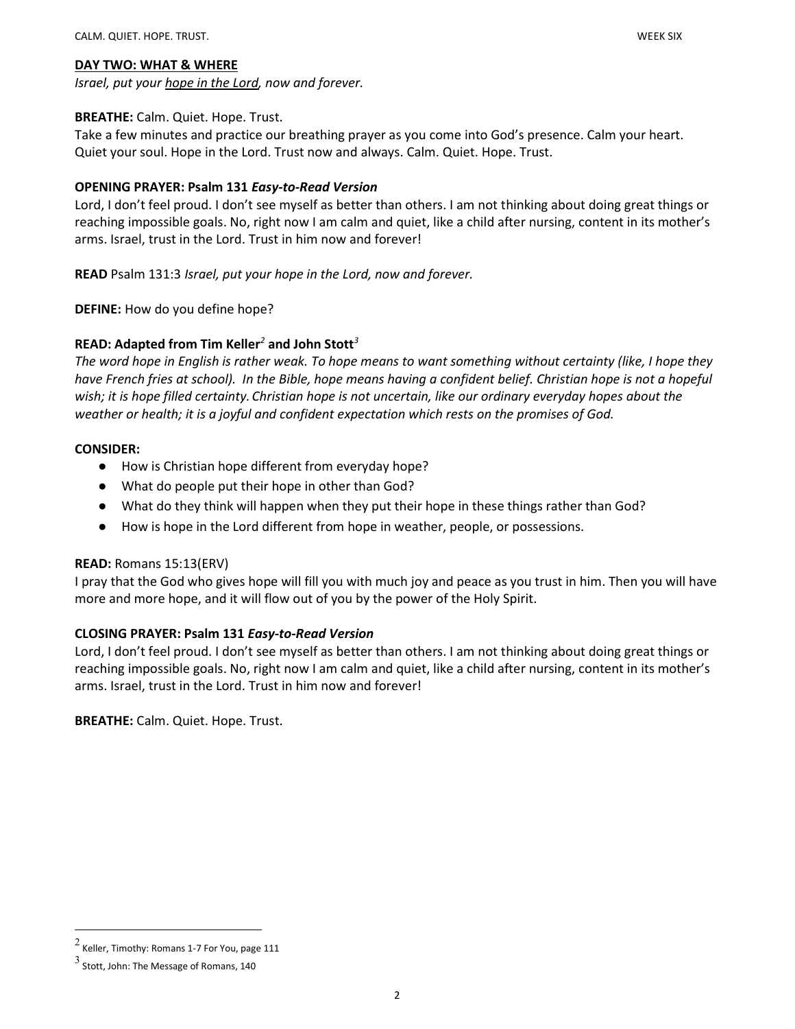Israel, put your hope in the Lord, now and forever.

## BREATHE: Calm. Quiet. Hope. Trust.

Take a few minutes and practice our breathing prayer as you come into God's presence. Calm your heart. Quiet your soul. Hope in the Lord. Trust now and always. Calm. Quiet. Hope. Trust.

## OPENING PRAYER: Psalm 131 Easy-to-Read Version

Lord, I don't feel proud. I don't see myself as better than others. I am not thinking about doing great things or reaching impossible goals. No, right now I am calm and quiet, like a child after nursing, content in its mother's arms. Israel, trust in the Lord. Trust in him now and forever!

READ Psalm 131:3 Israel, put your hope in the Lord, now and forever.

DEFINE: How do you define hope?

# READ: Adapted from Tim Keller<sup>2</sup> and John Stott<sup>3</sup>

The word hope in English is rather weak. To hope means to want something without certainty (like, I hope they have French fries at school). In the Bible, hope means having a confident belief. Christian hope is not a hopeful wish; it is hope filled certainty. Christian hope is not uncertain, like our ordinary everyday hopes about the weather or health; it is a joyful and confident expectation which rests on the promises of God.

## CONSIDER:

- How is Christian hope different from everyday hope?
- What do people put their hope in other than God?
- What do they think will happen when they put their hope in these things rather than God?
- How is hope in the Lord different from hope in weather, people, or possessions.

## READ: Romans 15:13(ERV)

I pray that the God who gives hope will fill you with much joy and peace as you trust in him. Then you will have more and more hope, and it will flow out of you by the power of the Holy Spirit.

## CLOSING PRAYER: Psalm 131 Easy-to-Read Version

Lord, I don't feel proud. I don't see myself as better than others. I am not thinking about doing great things or reaching impossible goals. No, right now I am calm and quiet, like a child after nursing, content in its mother's arms. Israel, trust in the Lord. Trust in him now and forever!

BREATHE: Calm. Quiet. Hope. Trust.

 $^2$  Keller, Timothy: Romans 1-7 For You, page 111

 $3$  Stott, John: The Message of Romans, 140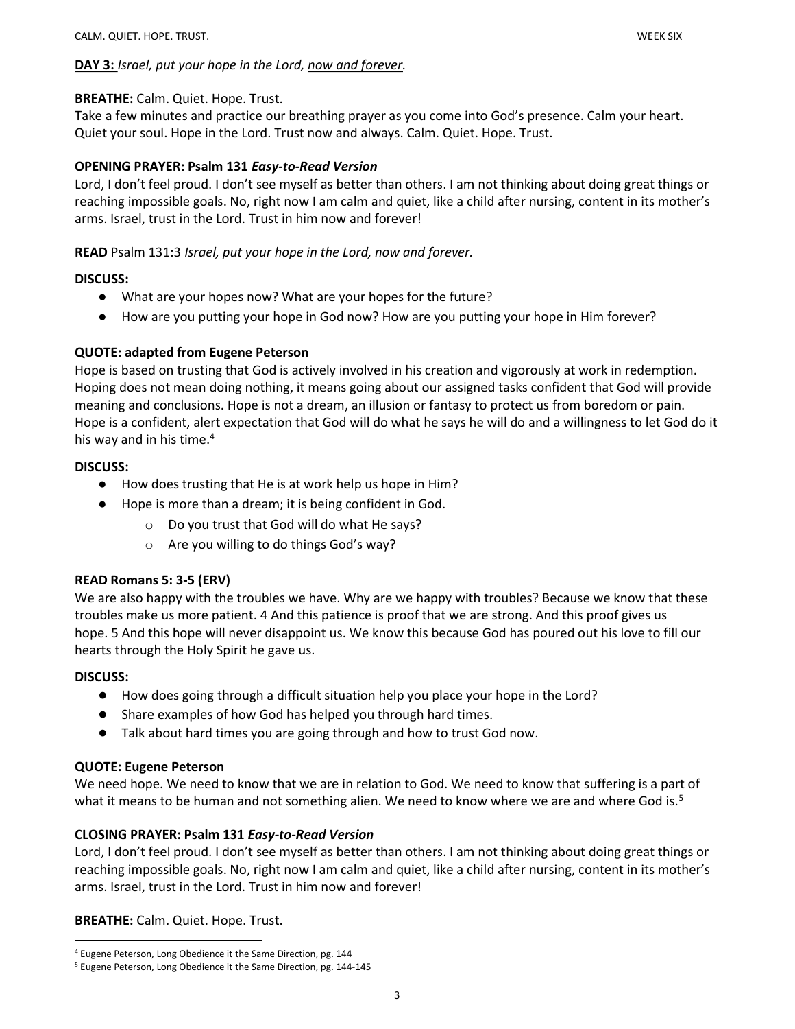## DAY 3: Israel, put your hope in the Lord, now and forever.

## BREATHE: Calm. Quiet. Hope. Trust.

Take a few minutes and practice our breathing prayer as you come into God's presence. Calm your heart. Quiet your soul. Hope in the Lord. Trust now and always. Calm. Quiet. Hope. Trust.

### OPENING PRAYER: Psalm 131 Easy-to-Read Version

Lord, I don't feel proud. I don't see myself as better than others. I am not thinking about doing great things or reaching impossible goals. No, right now I am calm and quiet, like a child after nursing, content in its mother's arms. Israel, trust in the Lord. Trust in him now and forever!

### READ Psalm 131:3 Israel, put your hope in the Lord, now and forever.

### DISCUSS:

- What are your hopes now? What are your hopes for the future?
- How are you putting your hope in God now? How are you putting your hope in Him forever?

## QUOTE: adapted from Eugene Peterson

Hope is based on trusting that God is actively involved in his creation and vigorously at work in redemption. Hoping does not mean doing nothing, it means going about our assigned tasks confident that God will provide meaning and conclusions. Hope is not a dream, an illusion or fantasy to protect us from boredom or pain. Hope is a confident, alert expectation that God will do what he says he will do and a willingness to let God do it his way and in his time.<sup>4</sup>

### DISCUSS:

- How does trusting that He is at work help us hope in Him?
- Hope is more than a dream; it is being confident in God.
	- o Do you trust that God will do what He says?
	- o Are you willing to do things God's way?

## READ Romans 5: 3-5 (ERV)

We are also happy with the troubles we have. Why are we happy with troubles? Because we know that these troubles make us more patient. 4 And this patience is proof that we are strong. And this proof gives us hope. 5 And this hope will never disappoint us. We know this because God has poured out his love to fill our hearts through the Holy Spirit he gave us.

### DISCUSS:

- How does going through a difficult situation help you place your hope in the Lord?
- Share examples of how God has helped you through hard times.
- Talk about hard times you are going through and how to trust God now.

### QUOTE: Eugene Peterson

We need hope. We need to know that we are in relation to God. We need to know that suffering is a part of what it means to be human and not something alien. We need to know where we are and where God is.<sup>5</sup>

## CLOSING PRAYER: Psalm 131 Easy-to-Read Version

Lord, I don't feel proud. I don't see myself as better than others. I am not thinking about doing great things or reaching impossible goals. No, right now I am calm and quiet, like a child after nursing, content in its mother's arms. Israel, trust in the Lord. Trust in him now and forever!

BREATHE: Calm. Quiet. Hope. Trust.

<sup>4</sup> Eugene Peterson, Long Obedience it the Same Direction, pg. 144

<sup>&</sup>lt;sup>5</sup> Eugene Peterson, Long Obedience it the Same Direction, pg. 144-145